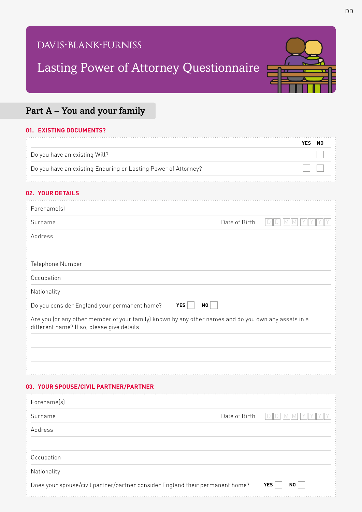## DAVIS·BLANK·FURNISS

# Lasting Power of Attorney Questionnaire



### Part A – You and your family

#### **01. EXISTING DOCUMENTS?**

|                                                                | YES NO |  |
|----------------------------------------------------------------|--------|--|
| Do you have an existing Will?                                  |        |  |
| Do you have an existing Enduring or Lasting Power of Attorney? |        |  |

#### **02. YOUR DETAILS**

| Forename(s)                                                                                                                                         |                         |                              |
|-----------------------------------------------------------------------------------------------------------------------------------------------------|-------------------------|------------------------------|
| Surname                                                                                                                                             | Date of Birth           | D.                           |
| Address                                                                                                                                             |                         |                              |
|                                                                                                                                                     |                         |                              |
| Telephone Number                                                                                                                                    |                         |                              |
| Occupation                                                                                                                                          |                         |                              |
| Nationality                                                                                                                                         |                         |                              |
| Do you consider England your permanent home?<br><b>YES</b>                                                                                          | $\mathbf{N} \mathbf{O}$ |                              |
| Are you (or any other member of your family) known by any other names and do you own any assets in a<br>different name? If so, please give details: |                         |                              |
|                                                                                                                                                     |                         |                              |
|                                                                                                                                                     |                         |                              |
|                                                                                                                                                     |                         |                              |
| 03. YOUR SPOUSE/CIVIL PARTNER/PARTNER                                                                                                               |                         |                              |
| Forenamelsl                                                                                                                                         |                         |                              |
| Surname                                                                                                                                             | Date of Birth           | D/D<br>$M$ $M$<br>Y          |
| Address                                                                                                                                             |                         |                              |
|                                                                                                                                                     |                         |                              |
| Occupation                                                                                                                                          |                         |                              |
| Nationality                                                                                                                                         |                         |                              |
| Does your spouse/civil partner/partner consider England their permanent home?                                                                       |                         | <b>YES</b><br>N <sub>0</sub> |
|                                                                                                                                                     |                         |                              |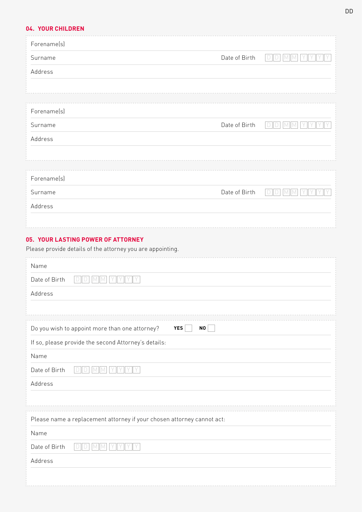#### **04. YOUR CHILDREN** . . . . . . . . . . . . . . . . . . . . . . . . . . . . . . .

| Forename(s)                                                                                      |               |                        |
|--------------------------------------------------------------------------------------------------|---------------|------------------------|
| Surname                                                                                          | Date of Birth | D<br>D                 |
| Address                                                                                          |               |                        |
|                                                                                                  |               |                        |
|                                                                                                  |               |                        |
| Forename(s)                                                                                      |               |                        |
| Surname                                                                                          | Date of Birth | $\Box$<br>M<br>D<br>IM |
| Address                                                                                          |               |                        |
|                                                                                                  |               |                        |
| Forename(s)                                                                                      |               |                        |
| Surname                                                                                          | Date of Birth |                        |
| Address                                                                                          |               |                        |
|                                                                                                  |               |                        |
|                                                                                                  |               |                        |
| 05. YOUR LASTING POWER OF ATTORNEY<br>Please provide details of the attorney you are appointing. |               |                        |
|                                                                                                  |               |                        |
| Name                                                                                             |               |                        |
| Date of Birth<br><b>MIM</b><br>D                                                                 |               |                        |
| Address                                                                                          |               |                        |
|                                                                                                  |               |                        |
| Do you wish to appoint more than one attorney?<br>NO<br>YES                                      |               |                        |
| If so, please provide the second Attorney's details:                                             |               |                        |
| Name                                                                                             |               |                        |
| Date of Birth<br>$\boxed{\phantom{1}}$<br>$\Box$<br>$M$ $M$<br>Y Y Y Y Y                         |               |                        |
| Address                                                                                          |               |                        |
|                                                                                                  |               |                        |
| Please name a replacement attorney if your chosen attorney cannot act:                           |               |                        |
| Name                                                                                             |               |                        |
| Date of Birth<br>$M$ $M$<br>$\Box$<br>$\Box$<br>YIYIY<br>II Y                                    |               |                        |
| Address                                                                                          |               |                        |
|                                                                                                  |               |                        |
|                                                                                                  |               |                        |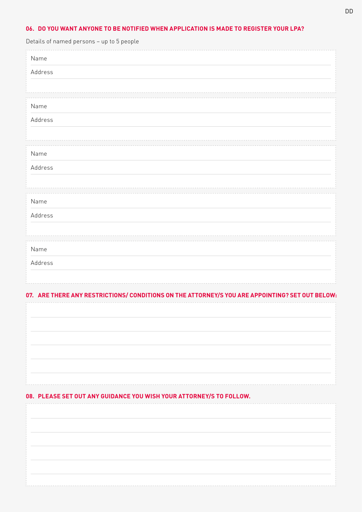#### **06. DO YOU WANT ANYONE TO BE NOTIFIED WHEN APPLICATION IS MADE TO REGISTER YOUR LPA?**

| Details of named persons - up to 5 people |  |
|-------------------------------------------|--|
| Name                                      |  |
| Address                                   |  |
|                                           |  |
| Name                                      |  |
| Address                                   |  |
|                                           |  |
| Name                                      |  |
| Address                                   |  |
|                                           |  |
| Name                                      |  |
| Address                                   |  |
|                                           |  |
| Name                                      |  |
| Address                                   |  |
|                                           |  |
|                                           |  |

### **07. ARE THERE ANY RESTRICTIONS/ CONDITIONS ON THE ATTORNEY/S YOU ARE APPOINTING? SET OUT BELOW:**

| 08. PLEASE SET OUT ANY GUIDANCE YOU WISH YOUR ATTORNEY/S TO FOLLOW. |
|---------------------------------------------------------------------|
|                                                                     |